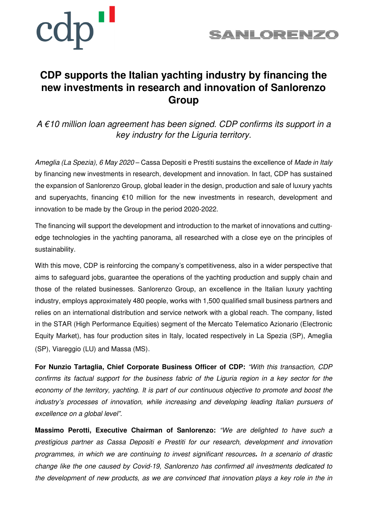



## **CDP supports the Italian yachting industry by financing the new investments in research and innovation of Sanlorenzo Group**

 $A \in 10$  million loan agreement has been signed. CDP confirms its support in a key industry for the Liguria territory.

Ameglia (La Spezia), 6 May 2020 – Cassa Depositi e Prestiti sustains the excellence of Made in Italy by financing new investments in research, development and innovation. In fact, CDP has sustained the expansion of Sanlorenzo Group, global leader in the design, production and sale of luxury yachts and superyachts, financing €10 million for the new investments in research, development and innovation to be made by the Group in the period 2020-2022.

The financing will support the development and introduction to the market of innovations and cuttingedge technologies in the yachting panorama, all researched with a close eye on the principles of sustainability.

With this move, CDP is reinforcing the company's competitiveness, also in a wider perspective that aims to safeguard jobs, guarantee the operations of the yachting production and supply chain and those of the related businesses. Sanlorenzo Group, an excellence in the Italian luxury yachting industry, employs approximately 480 people, works with 1,500 qualified small business partners and relies on an international distribution and service network with a global reach. The company, listed in the STAR (High Performance Equities) segment of the Mercato Telematico Azionario (Electronic Equity Market), has four production sites in Italy, located respectively in La Spezia (SP), Ameglia (SP), Viareggio (LU) and Massa (MS).

**For Nunzio Tartaglia, Chief Corporate Business Officer of CDP:** "With this transaction, CDP confirms its factual support for the business fabric of the Liguria region in a key sector for the economy of the territory, yachting. It is part of our continuous objective to promote and boost the industry's processes of innovation, while increasing and developing leading Italian pursuers of excellence on a global level".

**Massimo Perotti, Executive Chairman of Sanlorenzo:** "We are delighted to have such a prestigious partner as Cassa Depositi e Prestiti for our research, development and innovation programmes, in which we are continuing to invest significant resources**.** In a scenario of drastic change like the one caused by Covid-19, Sanlorenzo has confirmed all investments dedicated to the development of new products, as we are convinced that innovation plays a key role in the in